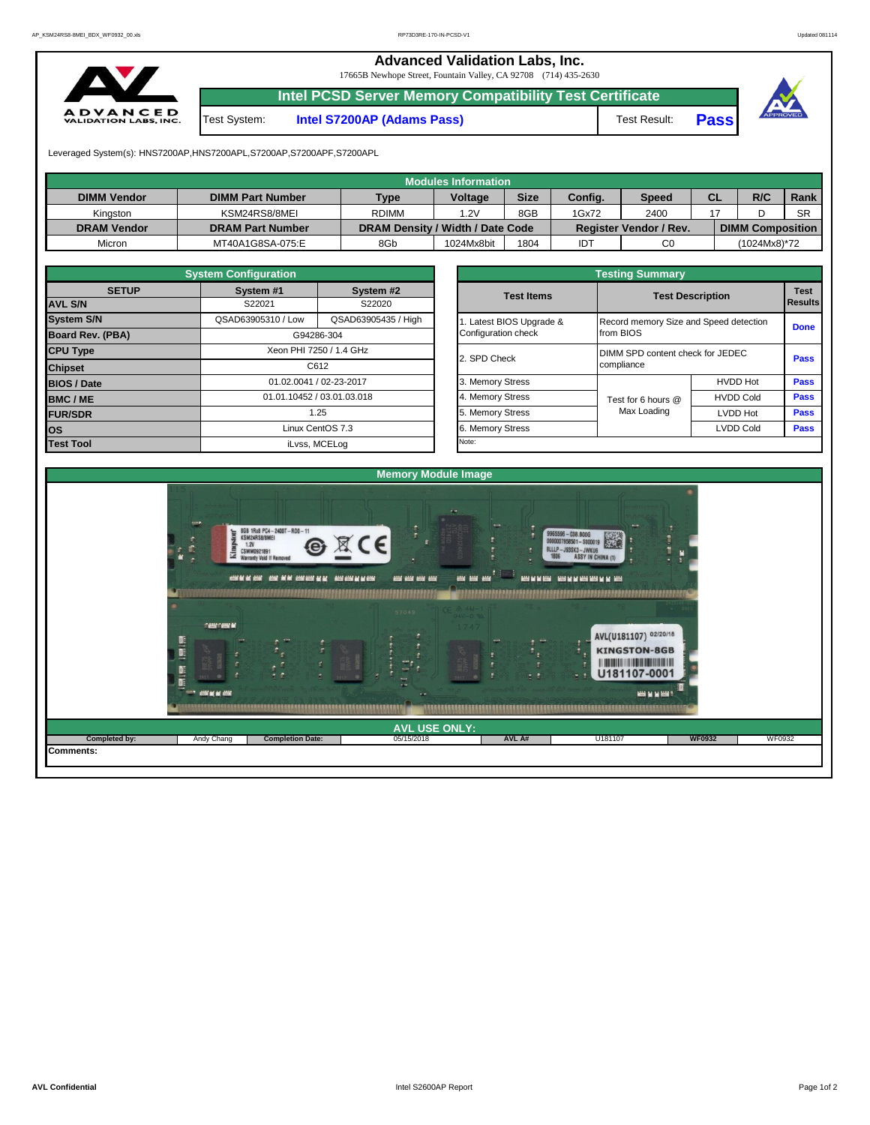**Advanced Validation Labs, Inc.**  17665B Newhope Street, Fountain Valley, CA 92708 (714) 435-2630

**Pass**

**Pass**

## **Intel PCSD Server Memory Compatibility Test Certificate A D V A N C E D**<br>VALIDATION LABS, INC. Test System: **Intel S7200AP (Adams Pass)** Test Result: **Pass** Leveraged System(s): HNS7200AP,HNS7200APL,S7200AP,S7200APF,S7200APL **Modules Information DIMM Vendor DIMM Part Number Type Voltage Size Config. Speed CL R/C Rank** Kingston | KSM24RS8/8MEI | RDIMM | 1.2V | 8GB 1Gx72 2400 17 D SR **DRAM Vendor DRAM Part Number DRAM Density / Width / Date Code Register Vendor / Rev. DIMM Composition** Micron | MT40A1G8SA-075:E | 8Gb | 1024Mx8bit | 1804 | IDT | C0 | (1024Mx8)\*72 **System Configuration Testing Summary SETUP System #1 System #2 Test Items Test Description Test**  S22021 S22020 **AVL S/N Results Results Results Results Results Results Results Results System S/N QSAD63905310 / Low QSAD63905435 / High 1. Latest BIOS Upgrade &** Record memory Size and Speed detection from BIOS **Done Board Rev. (PBA)** G94286-304 Configuration check **CPU Type** Xeon PHI 7250 / 1.4 GHz 2. SPD Check DIMM SPD content check for JEDEC compliance **Pass Chipset** C612 **BIOS / Date** 01.02.0041 / 02-23-2017 3. Memory Stress HVDD Hot **BMC / ME D1.01.10452 / 03.01.03.018** 4. Memory Stress **H**VDD Cold **Pass HVDD** Cold **Pass** Test for 6 hours @ Max Loading **FUR/SDR** Nax Loading LVDD Hot **1.25** 1.25 1.25 **1.25** 5. Memory Stress **Limitation Max Loading LVDD** Hot **OS Linux CentOS 7.3 Linux CentOS 7.3 COLD Cold Pass LVDD Cold Pass Test Tool** iLvss, MCELog Note: **Memory Module Image** 8GB 1Rx8 PC4-2400T-RD0-11 **BERRIED BERRIEDEN BE** ---AVL(U181107) 02/20/18  $\overline{B}$ **KINGSTON-8GB** T *<u>U DENES UN DE LA BARBARA DE L</u>* B U181107-0001 Đ ...... **CHANGE Completed by:** Andy Chang **Completion Date:** 05/15/2018 **AVL A#** U181107 **AVL USE ONLY: WF0932** WF0932 **Comments:**